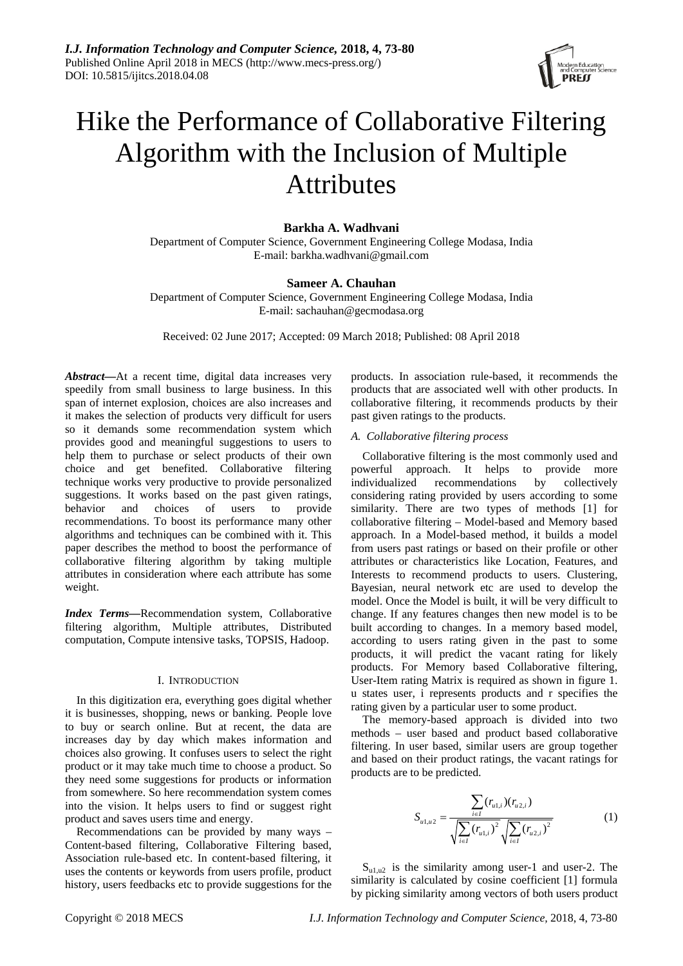

# Hike the Performance of Collaborative Filtering Algorithm with the Inclusion of Multiple **Attributes**

# **Barkha A. Wadhvani**

Department of Computer Science, Government Engineering College Modasa, India E-mail: barkha.wadhvani@gmail.com

# **Sameer A. Chauhan**

Department of Computer Science, Government Engineering College Modasa, India E-mail: sachauhan@gecmodasa.org

Received: 02 June 2017; Accepted: 09 March 2018; Published: 08 April 2018

*Abstract***—**At a recent time, digital data increases very speedily from small business to large business. In this span of internet explosion, choices are also increases and it makes the selection of products very difficult for users so it demands some recommendation system which provides good and meaningful suggestions to users to help them to purchase or select products of their own choice and get benefited. Collaborative filtering technique works very productive to provide personalized suggestions. It works based on the past given ratings, behavior and choices of users to provide recommendations. To boost its performance many other algorithms and techniques can be combined with it. This paper describes the method to boost the performance of collaborative filtering algorithm by taking multiple attributes in consideration where each attribute has some weight.

*Index Terms***—**Recommendation system, Collaborative filtering algorithm, Multiple attributes, Distributed computation, Compute intensive tasks, TOPSIS, Hadoop.

#### I. INTRODUCTION

In this digitization era, everything goes digital whether it is businesses, shopping, news or banking. People love to buy or search online. But at recent, the data are increases day by day which makes information and choices also growing. It confuses users to select the right product or it may take much time to choose a product. So they need some suggestions for products or information from somewhere. So here recommendation system comes into the vision. It helps users to find or suggest right product and saves users time and energy.

Recommendations can be provided by many ways – Content-based filtering, Collaborative Filtering based, Association rule-based etc. In content-based filtering, it uses the contents or keywords from users profile, product history, users feedbacks etc to provide suggestions for the products. In association rule-based, it recommends the products that are associated well with other products. In collaborative filtering, it recommends products by their past given ratings to the products.

## *A. Collaborative filtering process*

Collaborative filtering is the most commonly used and powerful approach. It helps to provide more individualized recommendations by collectively considering rating provided by users according to some similarity. There are two types of methods [1] for collaborative filtering – Model-based and Memory based approach. In a Model-based method, it builds a model from users past ratings or based on their profile or other attributes or characteristics like Location, Features, and Interests to recommend products to users. Clustering, Bayesian, neural network etc are used to develop the model. Once the Model is built, it will be very difficult to change. If any features changes then new model is to be built according to changes. In a memory based model, according to users rating given in the past to some products, it will predict the vacant rating for likely products. For Memory based Collaborative filtering, User-Item rating Matrix is required as shown in figure 1. u states user, i represents products and r specifies the rating given by a particular user to some product.

The memory-based approach is divided into two methods – user based and product based collaborative filtering. In user based, similar users are group together and based on their product ratings, the vacant ratings for products are to be predicted.

$$
S_{u1,u2} = \frac{\sum_{i \in I} (r_{u1,i})(r_{u2,i})}{\sqrt{\sum_{i \in I} (r_{u1,i})^2} \sqrt{\sum_{i \in I} (r_{u2,i})^2}}
$$
(1)

 $S<sub>u1,u2</sub>$  is the similarity among user-1 and user-2. The similarity is calculated by cosine coefficient [1] formula by picking similarity among vectors of both users product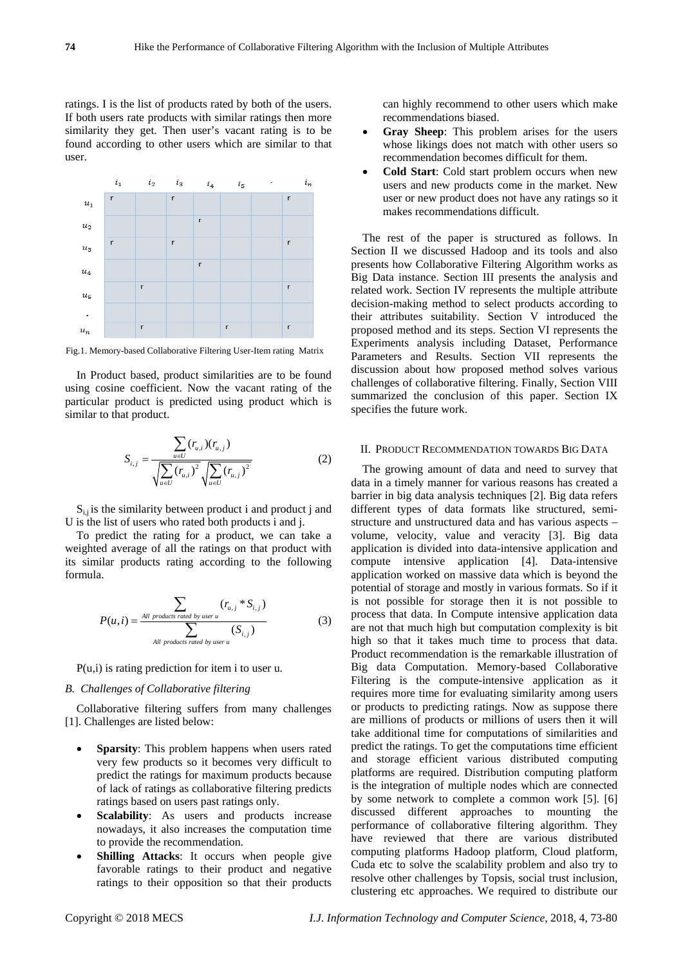ratings. I is the list of products rated by both of the users. If both users rate products with similar ratings then more similarity they get. Then user's vacant rating is to be found according to other users which are similar to that user.



Fig.1. Memory-based Collaborative Filtering User-Item rating Matrix

In Product based, product similarities are to be found using cosine coefficient. Now the vacant rating of the particular product is predicted using product which is similar to that product.

$$
S_{i,j} = \frac{\sum_{u \in U} (r_{u,i})(r_{u,j})}{\sqrt{\sum_{u \in U} (r_{u,i})^2} \sqrt{\sum_{u \in U} (r_{u,j})^2}}
$$
(2)

 $S_{i,j}$  is the similarity between product i and product j and U is the list of users who rated both products i and j.

To predict the rating for a product, we can take a weighted average of all the ratings on that product with its similar products rating according to the following formula.

$$
P(u,i) = \frac{\sum_{All\ products\ rate\ by\ user\ u} (r_{u,j} * S_{i,j})}{\sum_{All\ products\ rate\ by\ user\ u} (S_{i,j})}
$$
(3)

P(u,i) is rating prediction for item i to user u.

### *B. Challenges of Collaborative filtering*

Collaborative filtering suffers from many challenges [1]. Challenges are listed below:

- **Sparsity**: This problem happens when users rated very few products so it becomes very difficult to predict the ratings for maximum products because of lack of ratings as collaborative filtering predicts ratings based on users past ratings only.
- **Scalability**: As users and products increase nowadays, it also increases the computation time to provide the recommendation.
- **Shilling Attacks**: It occurs when people give favorable ratings to their product and negative ratings to their opposition so that their products

can highly recommend to other users which make recommendations biased.

- **Gray Sheep**: This problem arises for the users whose likings does not match with other users so recommendation becomes difficult for them.
- **Cold Start**: Cold start problem occurs when new users and new products come in the market. New user or new product does not have any ratings so it makes recommendations difficult.

The rest of the paper is structured as follows. In Section II we discussed Hadoop and its tools and also presents how Collaborative Filtering Algorithm works as Big Data instance. Section III presents the analysis and related work. Section IV represents the multiple attribute decision-making method to select products according to their attributes suitability. Section V introduced the proposed method and its steps. Section VI represents the Experiments analysis including Dataset, Performance Parameters and Results. Section VII represents the discussion about how proposed method solves various challenges of collaborative filtering. Finally, Section VIII summarized the conclusion of this paper. Section IX specifies the future work.

### II. PRODUCT RECOMMENDATION TOWARDS BIG DATA

The growing amount of data and need to survey that data in a timely manner for various reasons has created a barrier in big data analysis techniques [2]. Big data refers different types of data formats like structured, semistructure and unstructured data and has various aspects – volume, velocity, value and veracity [3]. Big data application is divided into data-intensive application and compute intensive application [4]. Data-intensive application worked on massive data which is beyond the potential of storage and mostly in various formats. So if it is not possible for storage then it is not possible to process that data. In Compute intensive application data are not that much high but computation complexity is bit high so that it takes much time to process that data. Product recommendation is the remarkable illustration of Big data Computation. Memory-based Collaborative Filtering is the compute-intensive application as it requires more time for evaluating similarity among users or products to predicting ratings. Now as suppose there are millions of products or millions of users then it will take additional time for computations of similarities and predict the ratings. To get the computations time efficient and storage efficient various distributed computing platforms are required. Distribution computing platform is the integration of multiple nodes which are connected by some network to complete a common work [5]. [6] discussed different approaches to mounting the performance of collaborative filtering algorithm. They have reviewed that there are various distributed computing platforms Hadoop platform, Cloud platform, Cuda etc to solve the scalability problem and also try to resolve other challenges by Topsis, social trust inclusion, clustering etc approaches. We required to distribute our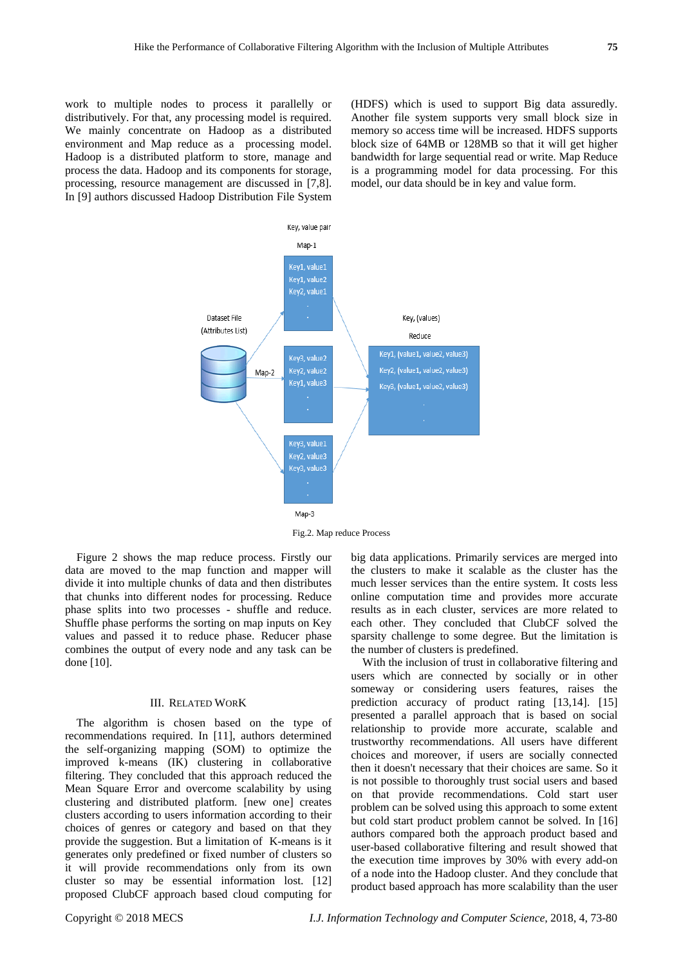work to multiple nodes to process it parallelly or distributively. For that, any processing model is required. We mainly concentrate on Hadoop as a distributed environment and Map reduce as a processing model. Hadoop is a distributed platform to store, manage and process the data. Hadoop and its components for storage, processing, resource management are discussed in [7,8]. In [9] authors discussed Hadoop Distribution File System

(HDFS) which is used to support Big data assuredly. Another file system supports very small block size in memory so access time will be increased. HDFS supports block size of 64MB or 128MB so that it will get higher bandwidth for large sequential read or write. Map Reduce is a programming model for data processing. For this model, our data should be in key and value form.



Fig.2. Map reduce Process

Figure 2 shows the map reduce process. Firstly our data are moved to the map function and mapper will divide it into multiple chunks of data and then distributes that chunks into different nodes for processing. Reduce phase splits into two processes - shuffle and reduce. Shuffle phase performs the sorting on map inputs on Key values and passed it to reduce phase. Reducer phase combines the output of every node and any task can be done [10].

#### III. RELATED WORK

The algorithm is chosen based on the type of recommendations required. In [11], authors determined the self-organizing mapping (SOM) to optimize the improved k-means (IK) clustering in collaborative filtering. They concluded that this approach reduced the Mean Square Error and overcome scalability by using clustering and distributed platform. [new one] creates clusters according to users information according to their choices of genres or category and based on that they provide the suggestion. But a limitation of K-means is it generates only predefined or fixed number of clusters so it will provide recommendations only from its own cluster so may be essential information lost. [12] proposed ClubCF approach based cloud computing for

big data applications. Primarily services are merged into the clusters to make it scalable as the cluster has the much lesser services than the entire system. It costs less online computation time and provides more accurate results as in each cluster, services are more related to each other. They concluded that ClubCF solved the sparsity challenge to some degree. But the limitation is the number of clusters is predefined.

With the inclusion of trust in collaborative filtering and users which are connected by socially or in other someway or considering users features, raises the prediction accuracy of product rating [13,14]. [15] presented a parallel approach that is based on social relationship to provide more accurate, scalable and trustworthy recommendations. All users have different choices and moreover, if users are socially connected then it doesn't necessary that their choices are same. So it is not possible to thoroughly trust social users and based on that provide recommendations. Cold start user problem can be solved using this approach to some extent but cold start product problem cannot be solved. In [16] authors compared both the approach product based and user-based collaborative filtering and result showed that the execution time improves by 30% with every add-on of a node into the Hadoop cluster. And they conclude that product based approach has more scalability than the user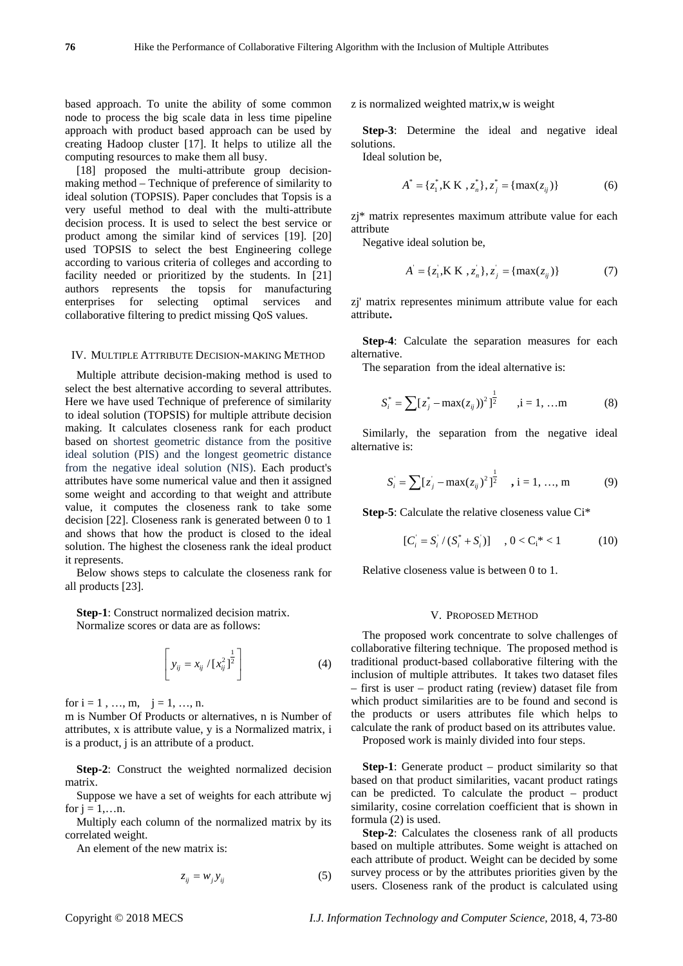based approach. To unite the ability of some common node to process the big scale data in less time pipeline approach with product based approach can be used by creating Hadoop cluster [17]. It helps to utilize all the computing resources to make them all busy.

[18] proposed the multi-attribute group decisionmaking method – Technique of preference of similarity to ideal solution (TOPSIS). Paper concludes that Topsis is a very useful method to deal with the multi-attribute decision process. It is used to select the best service or product among the similar kind of services [19]. [20] used TOPSIS to select the best Engineering college according to various criteria of colleges and according to facility needed or prioritized by the students. In [21] authors represents the topsis for manufacturing enterprises for selecting optimal services and collaborative filtering to predict missing QoS values.

#### IV. MULTIPLE ATTRIBUTE DECISION-MAKING METHOD

Multiple attribute decision-making method is used to select the best alternative according to several attributes. Here we have used Technique of preference of similarity to ideal solution (TOPSIS) for multiple attribute decision making. It calculates closeness rank for each product based on shortest geometric distance from the positive ideal solution (PIS) and the longest geometric distance from the negative ideal solution (NIS). Each product's attributes have some numerical value and then it assigned some weight and according to that weight and attribute value, it computes the closeness rank to take some decision [22]. Closeness rank is generated between 0 to 1 and shows that how the product is closed to the ideal solution. The highest the closeness rank the ideal product it represents.

Below shows steps to calculate the closeness rank for all products [23].

**Step-1**: Construct normalized decision matrix.

Normalize scores or data are as follows:

$$
\[ y_{ij} = x_{ij} / [x_{ij}^2]^{\frac{1}{2}} \] \tag{4}
$$

for  $i = 1, ..., m, j = 1, ..., n$ .

m is Number Of Products or alternatives, n is Number of attributes, x is attribute value, y is a Normalized matrix, i is a product, j is an attribute of a product.

**Step-2**: Construct the weighted normalized decision matrix.

Suppose we have a set of weights for each attribute wj for  $j = 1,...n$ .

Multiply each column of the normalized matrix by its correlated weight.

An element of the new matrix is:

$$
z_{ij} = w_j y_{ij} \tag{5}
$$

z is normalized weighted matrix,w is weight

**Step-3**: Determine the ideal and negative ideal solutions.

Ideal solution be,

$$
A^* = \{z_1^*, \mathbf{K} \mathbf{K} , z_n^* \}, z_j^* = \{ \max(z_{ij}) \}
$$
 (6)

zj\* matrix representes maximum attribute value for each attribute

Negative ideal solution be,

$$
A = \{z_1, K K, z_n\}, z_j = \{\max(z_{ij})\}
$$
 (7)

zj' matrix representes minimum attribute value for each attribute**.** 

**Step-4**: Calculate the separation measures for each alternative.

The separation from the ideal alternative is:

$$
S_i^* = \sum [z_j^* - \max(z_{ij}))^2 \Big]_2^{\frac{1}{2}} , i = 1, ... m
$$
 (8)

Similarly, the separation from the negative ideal alternative is:

$$
S_i = \sum [z_j - \max(z_{ij})^2]^{\frac{1}{2}} \quad , i = 1, ..., m
$$
 (9)

**Step-5**: Calculate the relative closeness value Ci\*

$$
[C_i = S_i / (S_i^* + S_i)] \quad , 0 < C_i^* < 1 \tag{10}
$$

Relative closeness value is between 0 to 1.

#### V. PROPOSED METHOD

The proposed work concentrate to solve challenges of collaborative filtering technique. The proposed method is traditional product-based collaborative filtering with the inclusion of multiple attributes. It takes two dataset files – first is user – product rating (review) dataset file from which product similarities are to be found and second is the products or users attributes file which helps to calculate the rank of product based on its attributes value.

Proposed work is mainly divided into four steps.

**Step-1**: Generate product – product similarity so that based on that product similarities, vacant product ratings can be predicted. To calculate the product – product similarity, cosine correlation coefficient that is shown in formula (2) is used.

**Step-2**: Calculates the closeness rank of all products based on multiple attributes. Some weight is attached on each attribute of product. Weight can be decided by some survey process or by the attributes priorities given by the users. Closeness rank of the product is calculated using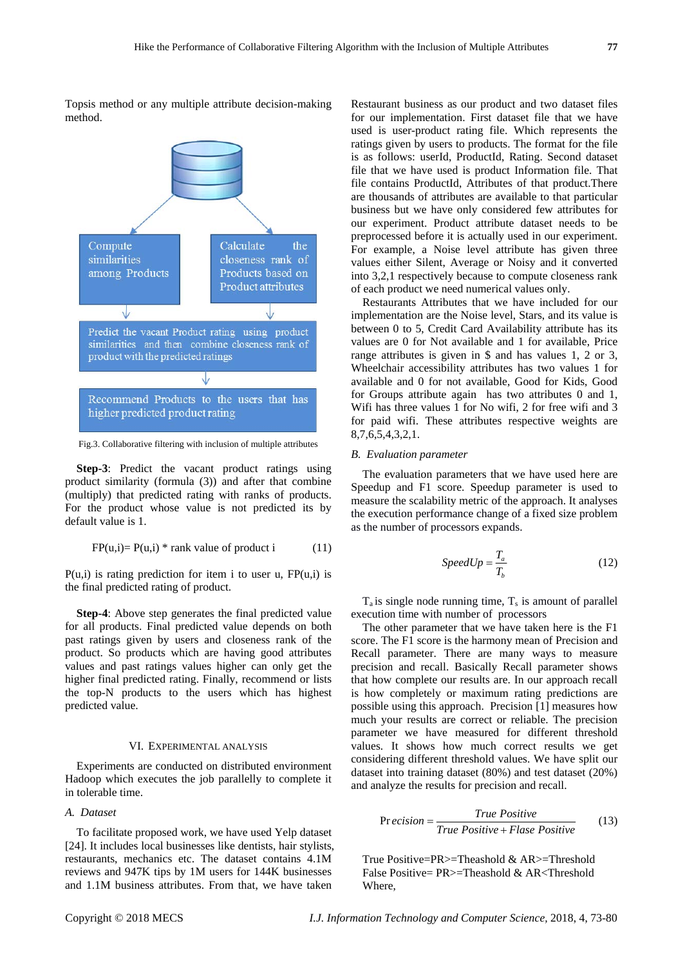Topsis method or any multiple attribute decision-making method.



Fig.3. Collaborative filtering with inclusion of multiple attributes

**Step-3**: Predict the vacant product ratings using product similarity (formula (3)) and after that combine (multiply) that predicted rating with ranks of products. For the product whose value is not predicted its by default value is 1.

$$
FP(u,i) = P(u,i) * rank value of product i \t(11)
$$

 $P(u,i)$  is rating prediction for item i to user u,  $FP(u,i)$  is the final predicted rating of product.

**Step-4**: Above step generates the final predicted value for all products. Final predicted value depends on both past ratings given by users and closeness rank of the product. So products which are having good attributes values and past ratings values higher can only get the higher final predicted rating. Finally, recommend or lists the top-N products to the users which has highest predicted value.

#### VI. EXPERIMENTAL ANALYSIS

Experiments are conducted on distributed environment Hadoop which executes the job parallelly to complete it in tolerable time.

## *A. Dataset*

To facilitate proposed work, we have used Yelp dataset [24]. It includes local businesses like dentists, hair stylists, restaurants, mechanics etc. The dataset contains 4.1M reviews and 947K tips by 1M users for 144K businesses and 1.1M business attributes. From that, we have taken

Restaurant business as our product and two dataset files for our implementation. First dataset file that we have used is user-product rating file. Which represents the ratings given by users to products. The format for the file is as follows: userId, ProductId, Rating. Second dataset file that we have used is product Information file. That file contains ProductId, Attributes of that product.There are thousands of attributes are available to that particular business but we have only considered few attributes for our experiment. Product attribute dataset needs to be preprocessed before it is actually used in our experiment. For example, a Noise level attribute has given three values either Silent, Average or Noisy and it converted into 3,2,1 respectively because to compute closeness rank of each product we need numerical values only.

Restaurants Attributes that we have included for our implementation are the Noise level, Stars, and its value is between 0 to 5, Credit Card Availability attribute has its values are 0 for Not available and 1 for available, Price range attributes is given in \$ and has values 1, 2 or 3, Wheelchair accessibility attributes has two values 1 for available and 0 for not available, Good for Kids, Good for Groups attribute again has two attributes 0 and 1, Wifi has three values 1 for No wifi, 2 for free wifi and 3 for paid wifi. These attributes respective weights are 8,7,6,5,4,3,2,1.

## *B. Evaluation parameter*

The evaluation parameters that we have used here are Speedup and F1 score. Speedup parameter is used to measure the scalability metric of the approach. It analyses the execution performance change of a fixed size problem as the number of processors expands.

$$
SpeedUp = \frac{T_a}{T_b} \tag{12}
$$

 $T_a$  is single node running time,  $T_s$  is amount of parallel execution time with number of processors

The other parameter that we have taken here is the F1 score. The F1 score is the harmony mean of Precision and Recall parameter. There are many ways to measure precision and recall. Basically Recall parameter shows that how complete our results are. In our approach recall is how completely or maximum rating predictions are possible using this approach. Precision [1] measures how much your results are correct or reliable. The precision parameter we have measured for different threshold values. It shows how much correct results we get considering different threshold values. We have split our dataset into training dataset (80%) and test dataset (20%) and analyze the results for precision and recall.

$$
Precision = \frac{True \ Positive}{True \ Positive + False \ Positive} \tag{13}
$$

True Positive=PR>=Theashold & AR>=Threshold False Positive= PR>=Theashold & AR<Threshold Where,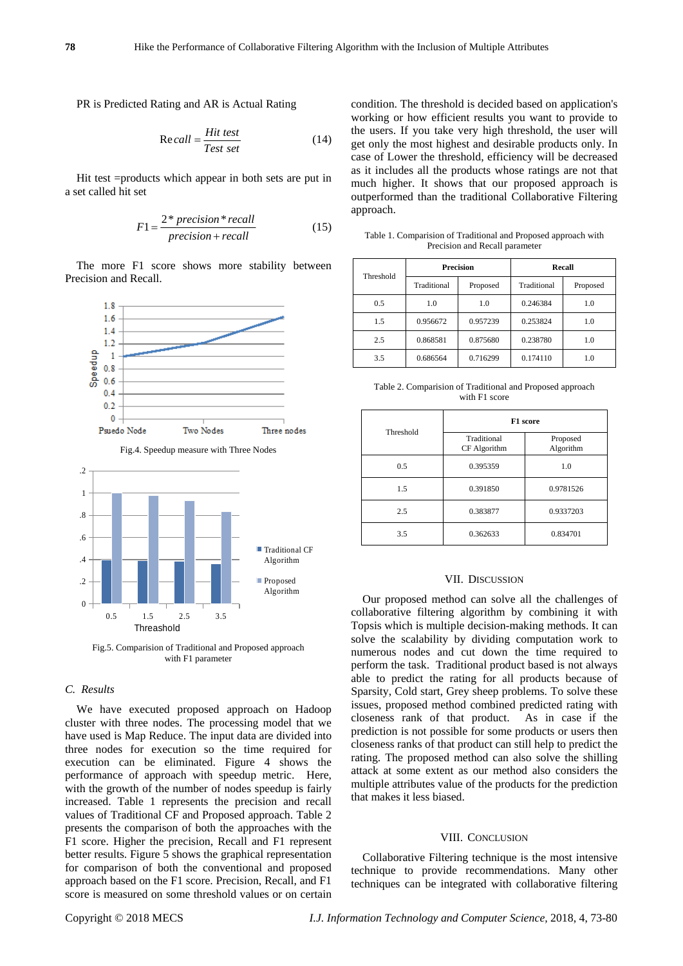PR is Predicted Rating and AR is Actual Rating

$$
Recall = \frac{Hit \text{ test}}{Test \text{ set}}
$$
 (14)

Hit test =products which appear in both sets are put in a set called hit set

$$
F1 = \frac{2 * precision * recall}{precision + recall}
$$
 (15)

The more F1 score shows more stability between Precision and Recall.





Fig.5. Comparision of Traditional and Proposed approach with F1 parameter

# *C. Results*

We have executed proposed approach on Hadoop cluster with three nodes. The processing model that we have used is Map Reduce. The input data are divided into three nodes for execution so the time required for execution can be eliminated. Figure 4 shows the performance of approach with speedup metric. Here, with the growth of the number of nodes speedup is fairly increased. Table 1 represents the precision and recall values of Traditional CF and Proposed approach. Table 2 presents the comparison of both the approaches with the F1 score. Higher the precision, Recall and F1 represent better results. Figure 5 shows the graphical representation for comparison of both the conventional and proposed approach based on the F1 score. Precision, Recall, and F1 score is measured on some threshold values or on certain condition. The threshold is decided based on application's working or how efficient results you want to provide to the users. If you take very high threshold, the user will get only the most highest and desirable products only. In case of Lower the threshold, efficiency will be decreased as it includes all the products whose ratings are not that much higher. It shows that our proposed approach is outperformed than the traditional Collaborative Filtering approach.

Table 1. Comparision of Traditional and Proposed approach with Precision and Recall parameter

| Threshold | <b>Precision</b> |          | Recall      |          |
|-----------|------------------|----------|-------------|----------|
|           | Traditional      | Proposed | Traditional | Proposed |
| 0.5       | 1.0              | 1.0      | 0.246384    | 1.0      |
| 1.5       | 0.956672         | 0.957239 | 0.253824    | 1.0      |
| 2.5       | 0.868581         | 0.875680 | 0.238780    | 1.0      |
| 3.5       | 0.686564         | 0.716299 | 0.174110    | 1.0      |

Table 2. Comparision of Traditional and Proposed approach with F1 score

| Threshold | F1 score                    |                       |  |
|-----------|-----------------------------|-----------------------|--|
|           | Traditional<br>CF Algorithm | Proposed<br>Algorithm |  |
| 0.5       | 0.395359                    | 1.0                   |  |
| 1.5       | 0.391850                    | 0.9781526             |  |
| 2.5       | 0.383877                    | 0.9337203             |  |
| 3.5       | 0.362633                    | 0.834701              |  |

#### VII. DISCUSSION

Our proposed method can solve all the challenges of collaborative filtering algorithm by combining it with Topsis which is multiple decision-making methods. It can solve the scalability by dividing computation work to numerous nodes and cut down the time required to perform the task. Traditional product based is not always able to predict the rating for all products because of Sparsity, Cold start, Grey sheep problems. To solve these issues, proposed method combined predicted rating with closeness rank of that product. As in case if the prediction is not possible for some products or users then closeness ranks of that product can still help to predict the rating. The proposed method can also solve the shilling attack at some extent as our method also considers the multiple attributes value of the products for the prediction that makes it less biased.

## VIII. CONCLUSION

Collaborative Filtering technique is the most intensive technique to provide recommendations. Many other techniques can be integrated with collaborative filtering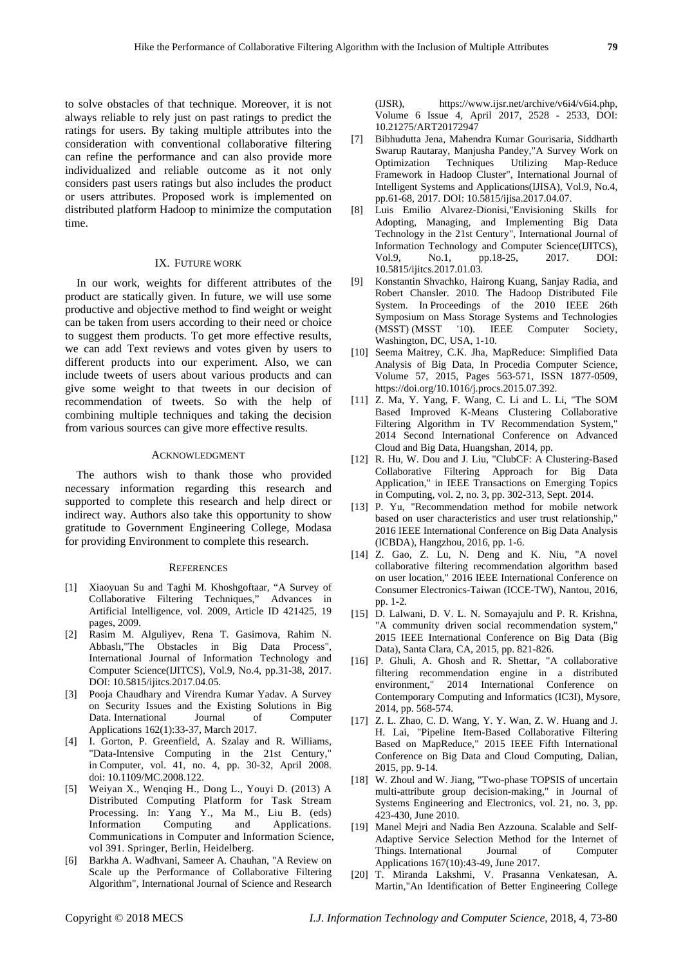to solve obstacles of that technique. Moreover, it is not always reliable to rely just on past ratings to predict the ratings for users. By taking multiple attributes into the consideration with conventional collaborative filtering can refine the performance and can also provide more individualized and reliable outcome as it not only considers past users ratings but also includes the product or users attributes. Proposed work is implemented on distributed platform Hadoop to minimize the computation time.

#### IX. FUTURE WORK

In our work, weights for different attributes of the product are statically given. In future, we will use some productive and objective method to find weight or weight can be taken from users according to their need or choice to suggest them products. To get more effective results, we can add Text reviews and votes given by users to different products into our experiment. Also, we can include tweets of users about various products and can give some weight to that tweets in our decision of recommendation of tweets. So with the help of combining multiple techniques and taking the decision from various sources can give more effective results.

#### ACKNOWLEDGMENT

The authors wish to thank those who provided necessary information regarding this research and supported to complete this research and help direct or indirect way. Authors also take this opportunity to show gratitude to Government Engineering College, Modasa for providing Environment to complete this research.

#### **REFERENCES**

- [1] Xiaoyuan Su and Taghi M. Khoshgoftaar, "A Survey of Collaborative Filtering Techniques," Advances in Artificial Intelligence, vol. 2009, Article ID 421425, 19 pages, 2009.
- [2] Rasim M. Alguliyev, Rena T. Gasimova, Rahim N. Abbaslı,"The Obstacles in Big Data Process", International Journal of Information Technology and Computer Science(IJITCS), Vol.9, No.4, pp.31-38, 2017. DOI: 10.5815/ijitcs.2017.04.05.
- [3] Pooja Chaudhary and Virendra Kumar Yadav. A Survey on Security Issues and the Existing Solutions in Big Data. International Journal of Computer Applications 162(1):33-37, March 2017.
- [4] I. Gorton, P. Greenfield, A. Szalay and R. Williams, "Data-Intensive Computing in the 21st Century," in Computer, vol. 41, no. 4, pp. 30-32, April 2008. doi: 10.1109/MC.2008.122.
- [5] Weiyan X., Wenqing H., Dong L., Youyi D. (2013) A Distributed Computing Platform for Task Stream Processing. In: Yang Y., Ma M., Liu B. (eds) Information Computing and Applications. Communications in Computer and Information Science, vol 391. Springer, Berlin, Heidelberg.
- [6] Barkha A. Wadhvani, Sameer A. Chauhan, "A Review on Scale up the Performance of Collaborative Filtering Algorithm", International Journal of Science and Research

(IJSR), https://www.ijsr.net/archive/v6i4/v6i4.php, Volume 6 Issue 4, April 2017, 2528 - 2533, DOI: 10.21275/ART20172947

- [7] Bibhudutta Jena, Mahendra Kumar Gourisaria, Siddharth Swarup Rautaray, Manjusha Pandey,"A Survey Work on Optimization Techniques Utilizing Map-Reduce Framework in Hadoop Cluster", International Journal of Intelligent Systems and Applications(IJISA), Vol.9, No.4, pp.61-68, 2017. DOI: 10.5815/ijisa.2017.04.07.
- [8] Luis Emilio Alvarez-Dionisi,"Envisioning Skills for Adopting, Managing, and Implementing Big Data Technology in the 21st Century", International Journal of Information Technology and Computer Science(IJITCS), Vol.9, No.1, pp.18-25, 2017. DOI: 10.5815/ijitcs.2017.01.03.
- [9] Konstantin Shvachko, Hairong Kuang, Sanjay Radia, and Robert Chansler. 2010. The Hadoop Distributed File System. In Proceedings of the 2010 IEEE 26th Symposium on Mass Storage Systems and Technologies (MSST) (MSST '10). IEEE Computer Society, Washington, DC, USA, 1-10.
- [10] Seema Maitrey, C.K. Jha, MapReduce: Simplified Data Analysis of Big Data, In Procedia Computer Science, Volume 57, 2015, Pages 563-571, ISSN 1877-0509, https://doi.org/10.1016/j.procs.2015.07.392.
- [11] Z. Ma, Y. Yang, F. Wang, C. Li and L. Li, "The SOM Based Improved K-Means Clustering Collaborative Filtering Algorithm in TV Recommendation System," 2014 Second International Conference on Advanced Cloud and Big Data, Huangshan, 2014, pp.
- [12] R. Hu, W. Dou and J. Liu, "ClubCF: A Clustering-Based Collaborative Filtering Approach for Big Data Application," in IEEE Transactions on Emerging Topics in Computing, vol. 2, no. 3, pp. 302-313, Sept. 2014.
- [13] P. Yu, "Recommendation method for mobile network based on user characteristics and user trust relationship," 2016 IEEE International Conference on Big Data Analysis (ICBDA), Hangzhou, 2016, pp. 1-6.
- [14] Z. Gao, Z. Lu, N. Deng and K. Niu, "A novel collaborative filtering recommendation algorithm based on user location," 2016 IEEE International Conference on Consumer Electronics-Taiwan (ICCE-TW), Nantou, 2016, pp. 1-2.
- [15] D. Lalwani, D. V. L. N. Somayajulu and P. R. Krishna, "A community driven social recommendation system," 2015 IEEE International Conference on Big Data (Big Data), Santa Clara, CA, 2015, pp. 821-826.
- [16] P. Ghuli, A. Ghosh and R. Shettar, "A collaborative filtering recommendation engine in a distributed environment," 2014 International Conference on Contemporary Computing and Informatics (IC3I), Mysore, 2014, pp. 568-574.
- [17] Z. L. Zhao, C. D. Wang, Y. Y. Wan, Z. W. Huang and J. H. Lai, "Pipeline Item-Based Collaborative Filtering Based on MapReduce," 2015 IEEE Fifth International Conference on Big Data and Cloud Computing, Dalian, 2015, pp. 9-14.
- [18] W. Zhoul and W. Jiang, "Two-phase TOPSIS of uncertain multi-attribute group decision-making," in Journal of Systems Engineering and Electronics, vol. 21, no. 3, pp. 423-430, June 2010.
- [19] Manel Mejri and Nadia Ben Azzouna. Scalable and Self-Adaptive Service Selection Method for the Internet of Things. International Journal of Computer Applications 167(10):43-49, June 2017.
- [20] T. Miranda Lakshmi, V. Prasanna Venkatesan, A. Martin,"An Identification of Better Engineering College